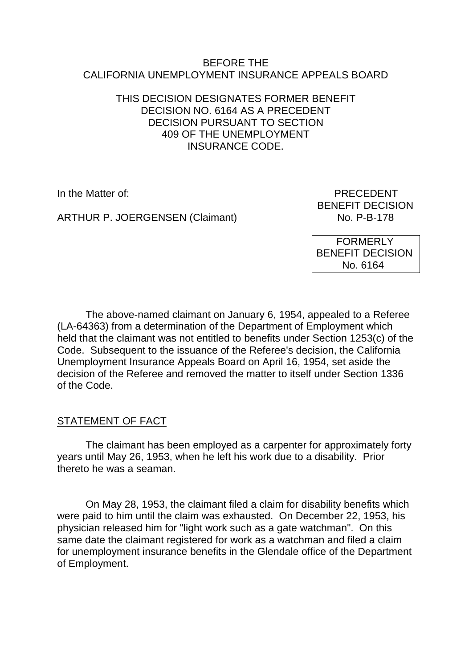#### BEFORE THE CALIFORNIA UNEMPLOYMENT INSURANCE APPEALS BOARD

## THIS DECISION DESIGNATES FORMER BENEFIT DECISION NO. 6164 AS A PRECEDENT DECISION PURSUANT TO SECTION 409 OF THE UNEMPLOYMENT INSURANCE CODE.

ARTHUR P. JOERGENSEN (Claimant)

In the Matter of: PRECEDENT BENEFIT DECISION<br>No. P-B-178

> FORMERLY BENEFIT DECISION No. 6164

The above-named claimant on January 6, 1954, appealed to a Referee (LA-64363) from a determination of the Department of Employment which held that the claimant was not entitled to benefits under Section 1253(c) of the Code. Subsequent to the issuance of the Referee's decision, the California Unemployment Insurance Appeals Board on April 16, 1954, set aside the decision of the Referee and removed the matter to itself under Section 1336 of the Code.

# STATEMENT OF FACT

The claimant has been employed as a carpenter for approximately forty years until May 26, 1953, when he left his work due to a disability. Prior thereto he was a seaman.

On May 28, 1953, the claimant filed a claim for disability benefits which were paid to him until the claim was exhausted. On December 22, 1953, his physician released him for "light work such as a gate watchman". On this same date the claimant registered for work as a watchman and filed a claim for unemployment insurance benefits in the Glendale office of the Department of Employment.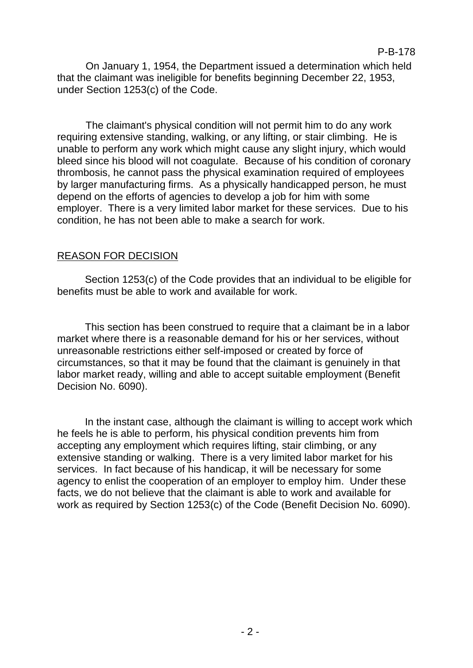On January 1, 1954, the Department issued a determination which held that the claimant was ineligible for benefits beginning December 22, 1953, under Section 1253(c) of the Code.

The claimant's physical condition will not permit him to do any work requiring extensive standing, walking, or any lifting, or stair climbing. He is unable to perform any work which might cause any slight injury, which would bleed since his blood will not coagulate. Because of his condition of coronary thrombosis, he cannot pass the physical examination required of employees by larger manufacturing firms. As a physically handicapped person, he must depend on the efforts of agencies to develop a job for him with some employer. There is a very limited labor market for these services. Due to his condition, he has not been able to make a search for work.

## REASON FOR DECISION

Section 1253(c) of the Code provides that an individual to be eligible for benefits must be able to work and available for work.

This section has been construed to require that a claimant be in a labor market where there is a reasonable demand for his or her services, without unreasonable restrictions either self-imposed or created by force of circumstances, so that it may be found that the claimant is genuinely in that labor market ready, willing and able to accept suitable employment (Benefit Decision No. 6090).

In the instant case, although the claimant is willing to accept work which he feels he is able to perform, his physical condition prevents him from accepting any employment which requires lifting, stair climbing, or any extensive standing or walking. There is a very limited labor market for his services. In fact because of his handicap, it will be necessary for some agency to enlist the cooperation of an employer to employ him. Under these facts, we do not believe that the claimant is able to work and available for work as required by Section 1253(c) of the Code (Benefit Decision No. 6090).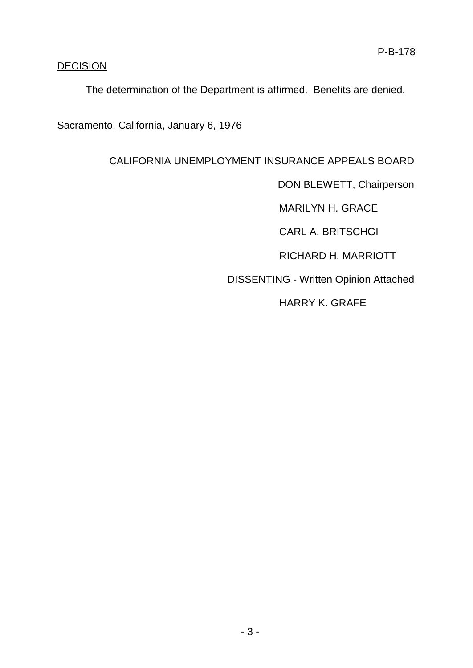# **DECISION**

The determination of the Department is affirmed. Benefits are denied.

Sacramento, California, January 6, 1976

# CALIFORNIA UNEMPLOYMENT INSURANCE APPEALS BOARD

DON BLEWETT, Chairperson

MARILYN H. GRACE

CARL A. BRITSCHGI

RICHARD H. MARRIOTT

DISSENTING - Written Opinion Attached

HARRY K. GRAFE